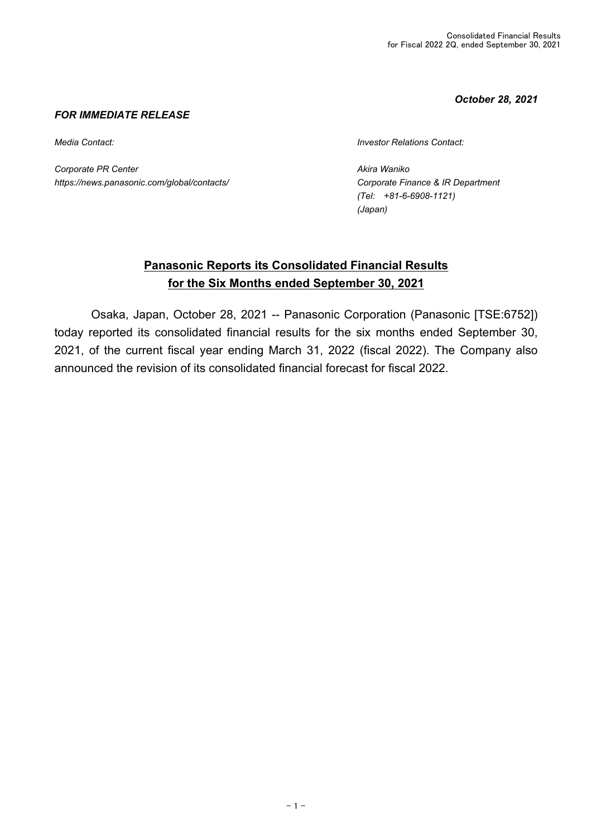*October 28, 2021*

#### *FOR IMMEDIATE RELEASE*

*Corporate PR Center Akira Waniko https://news.panasonic.com/global/contacts/ Corporate Finance & IR Department*

*Media Contact: Investor Relations Contact:*

*(Tel: +81-6-6908-1121) (Japan)*

# **Panasonic Reports its Consolidated Financial Results for the Six Months ended September 30, 2021**

 Osaka, Japan, October 28, 2021 -- Panasonic Corporation (Panasonic [TSE:6752]) today reported its consolidated financial results for the six months ended September 30, 2021, of the current fiscal year ending March 31, 2022 (fiscal 2022). The Company also announced the revision of its consolidated financial forecast for fiscal 2022.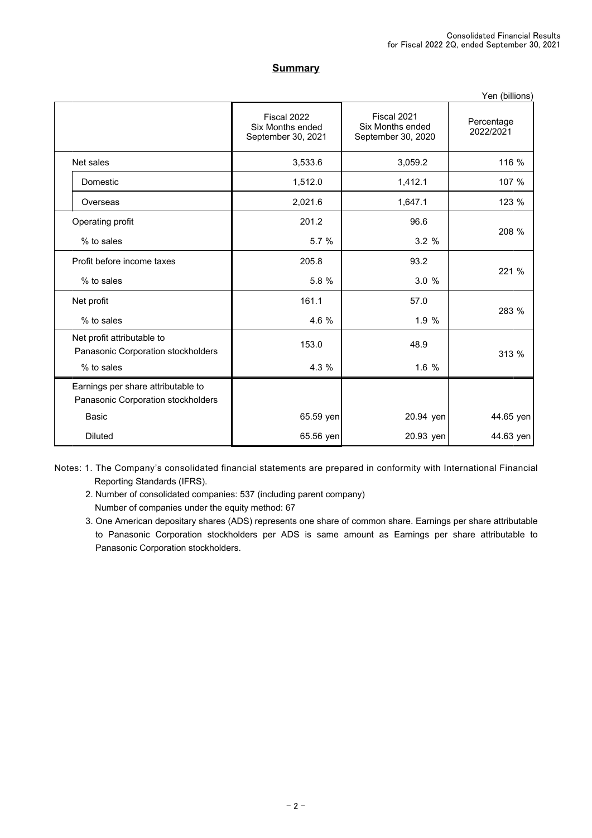#### **Summary**

|                                                                          |                                                       |                                                       | Yen (billions)          |
|--------------------------------------------------------------------------|-------------------------------------------------------|-------------------------------------------------------|-------------------------|
|                                                                          | Fiscal 2022<br>Six Months ended<br>September 30, 2021 | Fiscal 2021<br>Six Months ended<br>September 30, 2020 | Percentage<br>2022/2021 |
| Net sales                                                                | 3,533.6                                               | 3,059.2                                               | 116 %                   |
| Domestic                                                                 | 1,512.0                                               | 1,412.1                                               | 107 %                   |
| Overseas                                                                 | 2,021.6                                               | 1,647.1                                               | 123 %                   |
| Operating profit                                                         | 201.2                                                 | 96.6                                                  |                         |
| % to sales                                                               | 5.7 %                                                 | 3.2%                                                  | 208 %                   |
| Profit before income taxes                                               | 205.8                                                 | 93.2                                                  |                         |
| % to sales                                                               | 5.8 %                                                 | 3.0%                                                  | 221 %                   |
| Net profit                                                               | 161.1                                                 | 57.0                                                  |                         |
| % to sales                                                               | 4.6 %                                                 | 1.9%                                                  | 283 %                   |
| Net profit attributable to<br>Panasonic Corporation stockholders         | 153.0                                                 | 48.9                                                  | 313 %                   |
| % to sales                                                               | 4.3 %                                                 | 1.6 %                                                 |                         |
| Earnings per share attributable to<br>Panasonic Corporation stockholders |                                                       |                                                       |                         |
| Basic                                                                    | 65.59 yen                                             | 20.94 yen                                             | 44.65 yen               |
| <b>Diluted</b>                                                           | 65.56 yen                                             | 20.93 yen                                             | 44.63 yen               |

Notes: 1. The Company's consolidated financial statements are prepared in conformity with International Financial Reporting Standards (IFRS).

2. Number of consolidated companies: 537 (including parent company) Number of companies under the equity method: 67

3. One American depositary shares (ADS) represents one share of common share. Earnings per share attributable to Panasonic Corporation stockholders per ADS is same amount as Earnings per share attributable to Panasonic Corporation stockholders.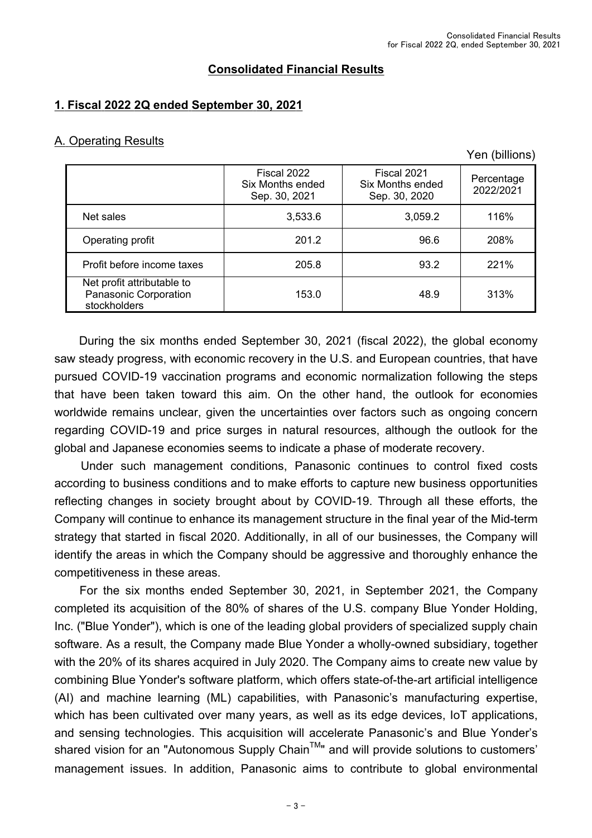### **Consolidated Financial Results**

## **1. Fiscal 2022 2Q ended September 30, 2021**

#### A. Operating Results

Yen (billions)

|                                                                     | Fiscal 2022<br>Six Months ended<br>Sep. 30, 2021 | Fiscal 2021<br>Six Months ended<br>Sep. 30, 2020 | Percentage<br>2022/2021 |
|---------------------------------------------------------------------|--------------------------------------------------|--------------------------------------------------|-------------------------|
| Net sales                                                           | 3,533.6                                          | 3,059.2                                          | 116%                    |
| Operating profit                                                    | 201.2                                            | 96.6                                             | 208%                    |
| Profit before income taxes                                          | 205.8                                            | 93.2                                             | 221%                    |
| Net profit attributable to<br>Panasonic Corporation<br>stockholders | 153.0                                            | 48.9                                             | 313%                    |

 During the six months ended September 30, 2021 (fiscal 2022), the global economy saw steady progress, with economic recovery in the U.S. and European countries, that have pursued COVID-19 vaccination programs and economic normalization following the steps that have been taken toward this aim. On the other hand, the outlook for economies worldwide remains unclear, given the uncertainties over factors such as ongoing concern regarding COVID-19 and price surges in natural resources, although the outlook for the global and Japanese economies seems to indicate a phase of moderate recovery.

 Under such management conditions, Panasonic continues to control fixed costs according to business conditions and to make efforts to capture new business opportunities reflecting changes in society brought about by COVID-19. Through all these efforts, the Company will continue to enhance its management structure in the final year of the Mid-term strategy that started in fiscal 2020. Additionally, in all of our businesses, the Company will identify the areas in which the Company should be aggressive and thoroughly enhance the competitiveness in these areas.

 For the six months ended September 30, 2021, in September 2021, the Company completed its acquisition of the 80% of shares of the U.S. company Blue Yonder Holding, Inc. ("Blue Yonder"), which is one of the leading global providers of specialized supply chain software. As a result, the Company made Blue Yonder a wholly-owned subsidiary, together with the 20% of its shares acquired in July 2020. The Company aims to create new value by combining Blue Yonder's software platform, which offers state-of-the-art artificial intelligence (AI) and machine learning (ML) capabilities, with Panasonic's manufacturing expertise, which has been cultivated over many years, as well as its edge devices, IoT applications, and sensing technologies. This acquisition will accelerate Panasonic's and Blue Yonder's shared vision for an "Autonomous Supply Chain<sup>TM</sup>" and will provide solutions to customers' management issues. In addition, Panasonic aims to contribute to global environmental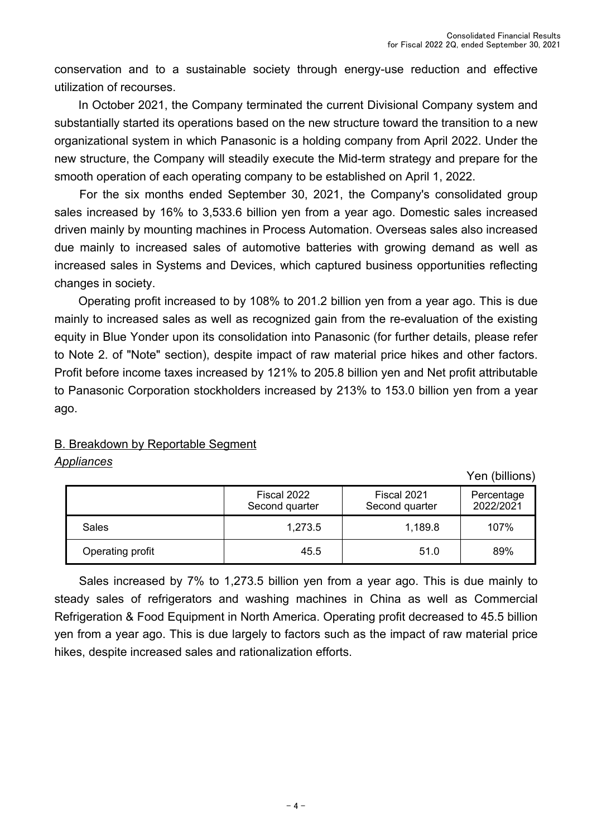conservation and to a sustainable society through energy-use reduction and effective utilization of recourses.

 In October 2021, the Company terminated the current Divisional Company system and substantially started its operations based on the new structure toward the transition to a new organizational system in which Panasonic is a holding company from April 2022. Under the new structure, the Company will steadily execute the Mid-term strategy and prepare for the smooth operation of each operating company to be established on April 1, 2022.

 For the six months ended September 30, 2021, the Company's consolidated group sales increased by 16% to 3,533.6 billion yen from a year ago. Domestic sales increased driven mainly by mounting machines in Process Automation. Overseas sales also increased due mainly to increased sales of automotive batteries with growing demand as well as increased sales in Systems and Devices, which captured business opportunities reflecting changes in society.

 Operating profit increased to by 108% to 201.2 billion yen from a year ago. This is due mainly to increased sales as well as recognized gain from the re-evaluation of the existing equity in Blue Yonder upon its consolidation into Panasonic (for further details, please refer to Note 2. of "Note" section), despite impact of raw material price hikes and other factors. Profit before income taxes increased by 121% to 205.8 billion yen and Net profit attributable to Panasonic Corporation stockholders increased by 213% to 153.0 billion yen from a year ago.

## B. Breakdown by Reportable Segment

### *Appliances*

Yen (billions)

|                  | Fiscal 2022<br>Second quarter | Fiscal 2021<br>Second quarter | Percentage<br>2022/2021 |
|------------------|-------------------------------|-------------------------------|-------------------------|
| Sales            | 1,273.5                       | 1,189.8                       | 107%                    |
| Operating profit | 45.5                          | 51.0                          | 89%                     |

 Sales increased by 7% to 1,273.5 billion yen from a year ago. This is due mainly to steady sales of refrigerators and washing machines in China as well as Commercial Refrigeration & Food Equipment in North America. Operating profit decreased to 45.5 billion yen from a year ago. This is due largely to factors such as the impact of raw material price hikes, despite increased sales and rationalization efforts.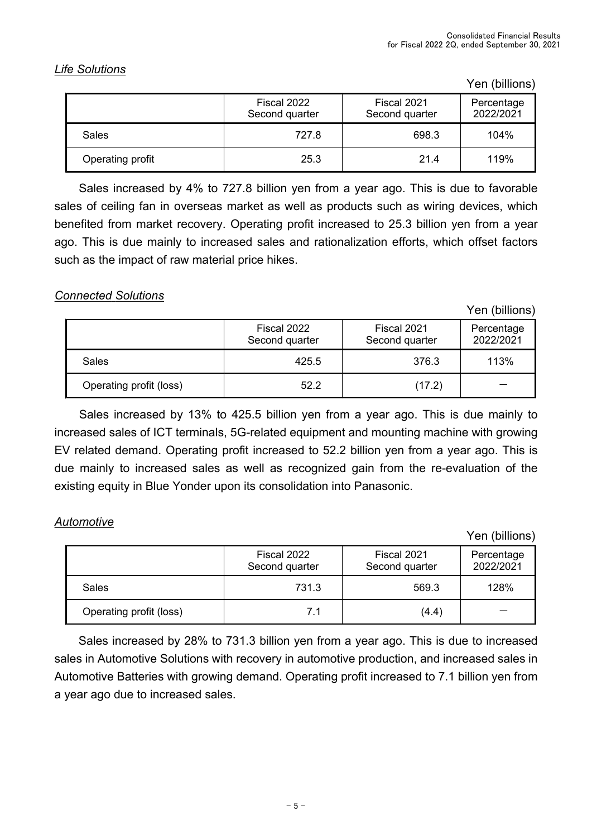## *Life Solutions*

Yen (billions)

|                  | Fiscal 2022<br>Second quarter | Fiscal 2021<br>Second quarter | Percentage<br>2022/2021 |
|------------------|-------------------------------|-------------------------------|-------------------------|
| Sales            | 727.8                         | 698.3                         | 104%                    |
| Operating profit | 25.3                          | 21.4                          | 119%                    |

 Sales increased by 4% to 727.8 billion yen from a year ago. This is due to favorable sales of ceiling fan in overseas market as well as products such as wiring devices, which benefited from market recovery. Operating profit increased to 25.3 billion yen from a year ago. This is due mainly to increased sales and rationalization efforts, which offset factors such as the impact of raw material price hikes.

### *Connected Solutions*

Yen (billions)

|                         | Fiscal 2022<br>Second quarter | Fiscal 2021<br>Second quarter | Percentage<br>2022/2021 |
|-------------------------|-------------------------------|-------------------------------|-------------------------|
| Sales                   | 425.5                         | 376.3                         | 113%                    |
| Operating profit (loss) | 52.2                          | (17.2)                        |                         |

 Sales increased by 13% to 425.5 billion yen from a year ago. This is due mainly to increased sales of ICT terminals, 5G-related equipment and mounting machine with growing EV related demand. Operating profit increased to 52.2 billion yen from a year ago. This is due mainly to increased sales as well as recognized gain from the re-evaluation of the existing equity in Blue Yonder upon its consolidation into Panasonic.

## *Automotive*

Yen (billions)

|                         | Fiscal 2022<br>Second quarter | Fiscal 2021<br>Second quarter | Percentage<br>2022/2021 |
|-------------------------|-------------------------------|-------------------------------|-------------------------|
| <b>Sales</b>            | 731.3                         | 569.3                         | 128%                    |
| Operating profit (loss) |                               | (4.4)                         |                         |

 Sales increased by 28% to 731.3 billion yen from a year ago. This is due to increased sales in Automotive Solutions with recovery in automotive production, and increased sales in Automotive Batteries with growing demand. Operating profit increased to 7.1 billion yen from a year ago due to increased sales.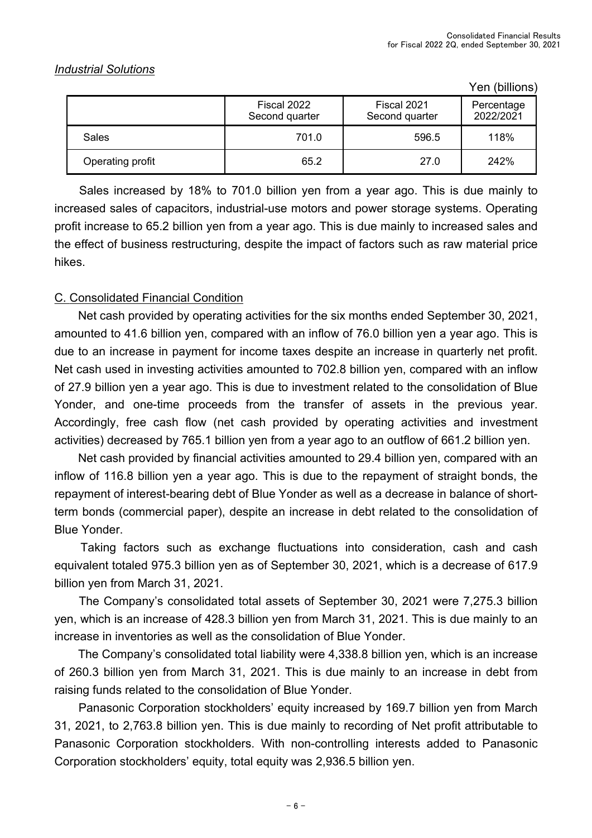### *Industrial Solutions*

Yen (billions)

|                  | Fiscal 2022<br>Second quarter | Fiscal 2021<br>Second quarter | Percentage<br>2022/2021 |
|------------------|-------------------------------|-------------------------------|-------------------------|
| Sales            | 701.0                         | 596.5                         | 118%                    |
| Operating profit | 65.2                          | 27.0                          | 242%                    |

 Sales increased by 18% to 701.0 billion yen from a year ago. This is due mainly to increased sales of capacitors, industrial-use motors and power storage systems. Operating profit increase to 65.2 billion yen from a year ago. This is due mainly to increased sales and the effect of business restructuring, despite the impact of factors such as raw material price hikes.

### C. Consolidated Financial Condition

 Net cash provided by operating activities for the six months ended September 30, 2021, amounted to 41.6 billion yen, compared with an inflow of 76.0 billion yen a year ago. This is due to an increase in payment for income taxes despite an increase in quarterly net profit. Net cash used in investing activities amounted to 702.8 billion yen, compared with an inflow of 27.9 billion yen a year ago. This is due to investment related to the consolidation of Blue Yonder, and one-time proceeds from the transfer of assets in the previous year. Accordingly, free cash flow (net cash provided by operating activities and investment activities) decreased by 765.1 billion yen from a year ago to an outflow of 661.2 billion yen.

 Net cash provided by financial activities amounted to 29.4 billion yen, compared with an inflow of 116.8 billion yen a year ago. This is due to the repayment of straight bonds, the repayment of interest-bearing debt of Blue Yonder as well as a decrease in balance of shortterm bonds (commercial paper), despite an increase in debt related to the consolidation of Blue Yonder.

 Taking factors such as exchange fluctuations into consideration, cash and cash equivalent totaled 975.3 billion yen as of September 30, 2021, which is a decrease of 617.9 billion yen from March 31, 2021.

 The Company's consolidated total assets of September 30, 2021 were 7,275.3 billion yen, which is an increase of 428.3 billion yen from March 31, 2021. This is due mainly to an increase in inventories as well as the consolidation of Blue Yonder.

 The Company's consolidated total liability were 4,338.8 billion yen, which is an increase of 260.3 billion yen from March 31, 2021. This is due mainly to an increase in debt from raising funds related to the consolidation of Blue Yonder.

 Panasonic Corporation stockholders' equity increased by 169.7 billion yen from March 31, 2021, to 2,763.8 billion yen. This is due mainly to recording of Net profit attributable to Panasonic Corporation stockholders. With non-controlling interests added to Panasonic Corporation stockholders' equity, total equity was 2,936.5 billion yen.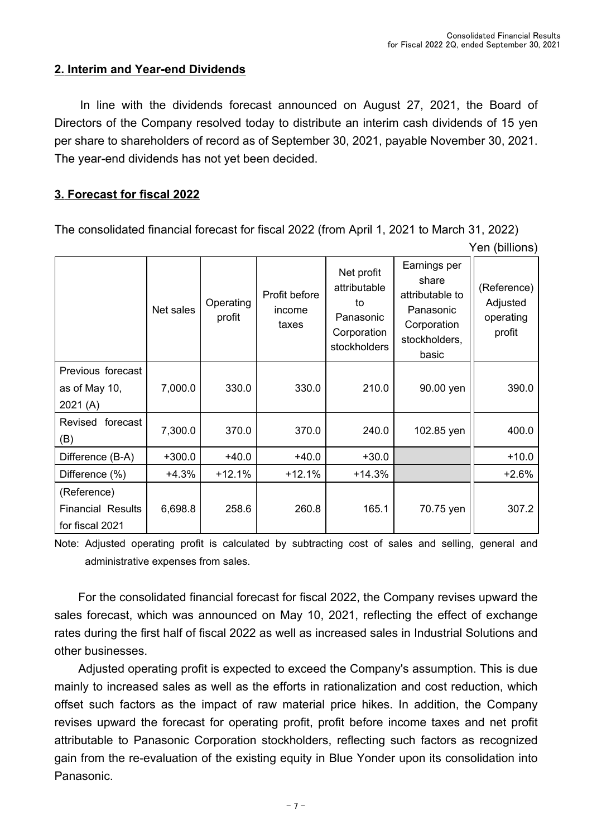Yen (billions)

### **2. Interim and Year-end Dividends**

 In line with the dividends forecast announced on August 27, 2021, the Board of Directors of the Company resolved today to distribute an interim cash dividends of 15 yen per share to shareholders of record as of September 30, 2021, payable November 30, 2021. The year-end dividends has not yet been decided.

## **3. Forecast for fiscal 2022**

The consolidated financial forecast for fiscal 2022 (from April 1, 2021 to March 31, 2022)

|                                                            | Net sales | Operating<br>profit | Profit before<br>income<br>taxes | Net profit<br>attributable<br>to<br>Panasonic<br>Corporation<br>stockholders | Earnings per<br>share<br>attributable to<br>Panasonic<br>Corporation<br>stockholders,<br>basic | (Reference)<br>Adjusted<br>operating<br>profit |
|------------------------------------------------------------|-----------|---------------------|----------------------------------|------------------------------------------------------------------------------|------------------------------------------------------------------------------------------------|------------------------------------------------|
| Previous forecast<br>as of May 10,<br>2021(A)              | 7,000.0   | 330.0               | 330.0                            | 210.0                                                                        | 90.00 yen                                                                                      | 390.0                                          |
| Revised forecast<br>(B)                                    | 7,300.0   |                     | 370.0                            | 240.0                                                                        | 102.85 yen                                                                                     | 400.0                                          |
| Difference (B-A)                                           | $+300.0$  | $+40.0$             | $+40.0$                          | $+30.0$                                                                      |                                                                                                | $+10.0$                                        |
| Difference (%)                                             | +4.3%     | $+12.1%$            | $+12.1%$                         | $+14.3%$                                                                     |                                                                                                | $+2.6%$                                        |
| (Reference)<br><b>Financial Results</b><br>for fiscal 2021 | 6,698.8   | 258.6               | 260.8                            | 165.1                                                                        | 70.75 yen                                                                                      | 307.2                                          |

Note: Adjusted operating profit is calculated by subtracting cost of sales and selling, general and administrative expenses from sales.

 For the consolidated financial forecast for fiscal 2022, the Company revises upward the sales forecast, which was announced on May 10, 2021, reflecting the effect of exchange rates during the first half of fiscal 2022 as well as increased sales in Industrial Solutions and other businesses.

 Adjusted operating profit is expected to exceed the Company's assumption. This is due mainly to increased sales as well as the efforts in rationalization and cost reduction, which offset such factors as the impact of raw material price hikes. In addition, the Company revises upward the forecast for operating profit, profit before income taxes and net profit attributable to Panasonic Corporation stockholders, reflecting such factors as recognized gain from the re-evaluation of the existing equity in Blue Yonder upon its consolidation into Panasonic.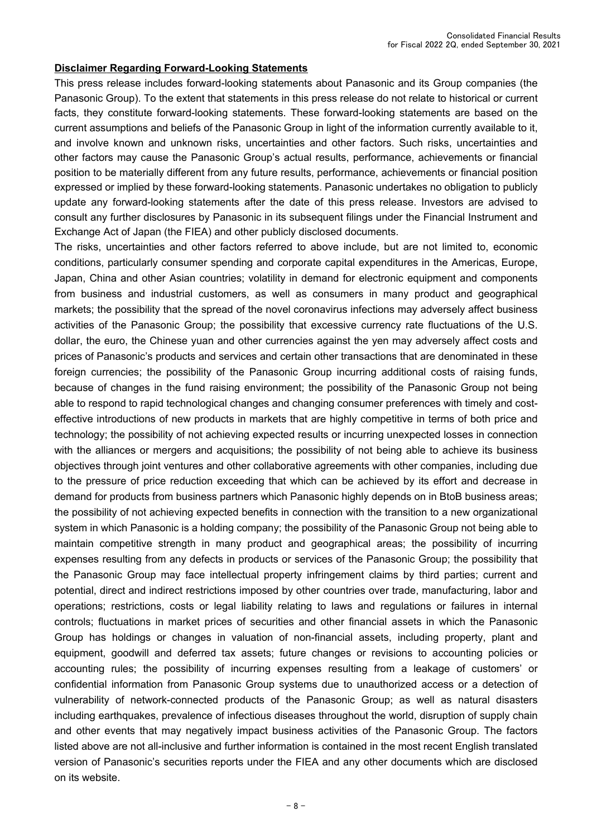#### **Disclaimer Regarding Forward-Looking Statements**

This press release includes forward-looking statements about Panasonic and its Group companies (the Panasonic Group). To the extent that statements in this press release do not relate to historical or current facts, they constitute forward-looking statements. These forward-looking statements are based on the current assumptions and beliefs of the Panasonic Group in light of the information currently available to it, and involve known and unknown risks, uncertainties and other factors. Such risks, uncertainties and other factors may cause the Panasonic Group's actual results, performance, achievements or financial position to be materially different from any future results, performance, achievements or financial position expressed or implied by these forward-looking statements. Panasonic undertakes no obligation to publicly update any forward-looking statements after the date of this press release. Investors are advised to consult any further disclosures by Panasonic in its subsequent filings under the Financial Instrument and Exchange Act of Japan (the FIEA) and other publicly disclosed documents.

The risks, uncertainties and other factors referred to above include, but are not limited to, economic conditions, particularly consumer spending and corporate capital expenditures in the Americas, Europe, Japan, China and other Asian countries; volatility in demand for electronic equipment and components from business and industrial customers, as well as consumers in many product and geographical markets; the possibility that the spread of the novel coronavirus infections may adversely affect business activities of the Panasonic Group; the possibility that excessive currency rate fluctuations of the U.S. dollar, the euro, the Chinese yuan and other currencies against the yen may adversely affect costs and prices of Panasonic's products and services and certain other transactions that are denominated in these foreign currencies; the possibility of the Panasonic Group incurring additional costs of raising funds, because of changes in the fund raising environment; the possibility of the Panasonic Group not being able to respond to rapid technological changes and changing consumer preferences with timely and costeffective introductions of new products in markets that are highly competitive in terms of both price and technology; the possibility of not achieving expected results or incurring unexpected losses in connection with the alliances or mergers and acquisitions; the possibility of not being able to achieve its business objectives through joint ventures and other collaborative agreements with other companies, including due to the pressure of price reduction exceeding that which can be achieved by its effort and decrease in demand for products from business partners which Panasonic highly depends on in BtoB business areas; the possibility of not achieving expected benefits in connection with the transition to a new organizational system in which Panasonic is a holding company; the possibility of the Panasonic Group not being able to maintain competitive strength in many product and geographical areas; the possibility of incurring expenses resulting from any defects in products or services of the Panasonic Group; the possibility that the Panasonic Group may face intellectual property infringement claims by third parties; current and potential, direct and indirect restrictions imposed by other countries over trade, manufacturing, labor and operations; restrictions, costs or legal liability relating to laws and regulations or failures in internal controls; fluctuations in market prices of securities and other financial assets in which the Panasonic Group has holdings or changes in valuation of non-financial assets, including property, plant and equipment, goodwill and deferred tax assets; future changes or revisions to accounting policies or accounting rules; the possibility of incurring expenses resulting from a leakage of customers' or confidential information from Panasonic Group systems due to unauthorized access or a detection of vulnerability of network-connected products of the Panasonic Group; as well as natural disasters including earthquakes, prevalence of infectious diseases throughout the world, disruption of supply chain and other events that may negatively impact business activities of the Panasonic Group. The factors listed above are not all-inclusive and further information is contained in the most recent English translated version of Panasonic's securities reports under the FIEA and any other documents which are disclosed on its website.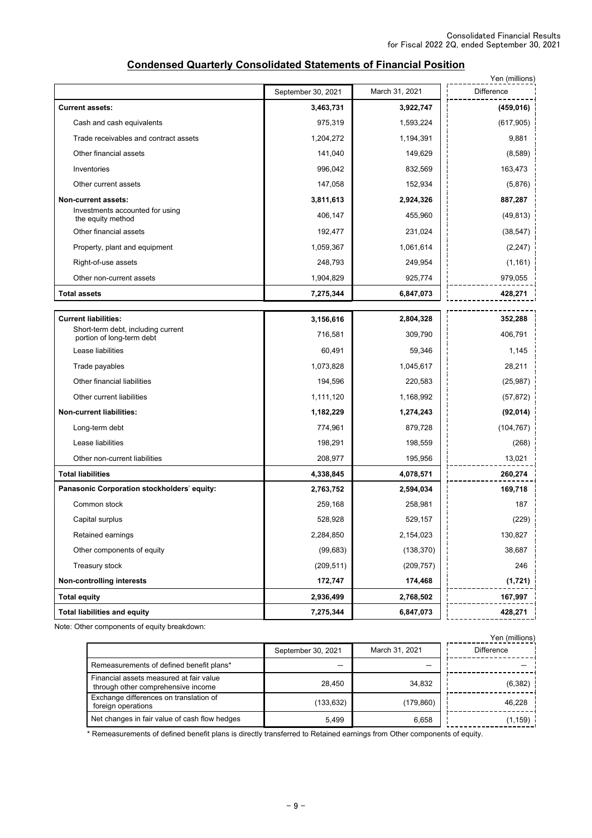|                                                                   |                    |                | Yen (millions) |
|-------------------------------------------------------------------|--------------------|----------------|----------------|
|                                                                   | September 30, 2021 | March 31, 2021 | Difference     |
| <b>Current assets:</b>                                            | 3,463,731          | 3,922,747      | (459, 016)     |
| Cash and cash equivalents                                         | 975,319            | 1,593,224      | (617, 905)     |
| Trade receivables and contract assets                             | 1,204,272          | 1,194,391      | 9,881          |
| Other financial assets                                            | 141,040            | 149,629        | (8,589)        |
| Inventories                                                       | 996,042            | 832,569        | 163,473        |
| Other current assets                                              | 147,058            | 152,934        | (5,876)        |
| Non-current assets:                                               | 3,811,613          | 2,924,326      | 887,287        |
| Investments accounted for using<br>the equity method              | 406,147            | 455,960        | (49, 813)      |
| Other financial assets                                            | 192,477            | 231,024        | (38, 547)      |
| Property, plant and equipment                                     | 1,059,367          | 1,061,614      | (2, 247)       |
| Right-of-use assets                                               | 248,793            | 249,954        | (1, 161)       |
| Other non-current assets                                          | 1,904,829          | 925,774        | 979,055        |
| <b>Total assets</b>                                               | 7,275,344          | 6,847,073      | 428,271        |
|                                                                   |                    |                |                |
| <b>Current liabilities:</b><br>Short-term debt, including current | 3,156,616          | 2,804,328      | 352,288        |
| portion of long-term debt                                         | 716,581            | 309,790        | 406,791        |
| Lease liabilities                                                 | 60,491             | 59,346         | 1,145          |
| Trade payables                                                    | 1,073,828          | 1,045,617      | 28,211         |
| Other financial liabilities                                       | 194,596            | 220,583        | (25, 987)      |
| Other current liabilities                                         | 1,111,120          | 1,168,992      | (57, 872)      |
| <b>Non-current liabilities:</b>                                   | 1,182,229          | 1,274,243      | (92, 014)      |
| Long-term debt                                                    | 774,961            | 879,728        | (104, 767)     |
| Lease liabilities                                                 | 198,291            | 198,559        | (268)          |
| Other non-current liabilities                                     | 208,977            | 195,956        | 13,021         |
| <b>Total liabilities</b>                                          | 4,338,845          | 4,078,571      | 260,274        |
| Panasonic Corporation stockholders' equity:                       | 2,763,752          | 2,594,034      | 169,718        |
| Common stock                                                      | 259,168            | 258,981        | 187            |
| Capital surplus                                                   | 528,928            | 529,157        | (229)          |
| Retained earnings                                                 | 2,284,850          | 2,154,023      | 130,827        |
| Other components of equity                                        | (99, 683)          | (138, 370)     | 38,687         |
| Treasury stock                                                    | (209, 511)         | (209, 757)     | 246            |
| Non-controlling interests                                         | 172,747            | 174,468        | (1,721)        |
| <b>Total equity</b>                                               | 2,936,499          | 2,768,502      | 167,997        |
| <b>Total liabilities and equity</b>                               | 7,275,344          | 6,847,073      | 428,271        |

#### **Condensed Quarterly Consolidated Statements of Financial Position**

Note: Other components of equity breakdown:

|                                                                               |                    |                | Yen (millions) |
|-------------------------------------------------------------------------------|--------------------|----------------|----------------|
|                                                                               | September 30, 2021 | March 31, 2021 | Difference     |
| Remeasurements of defined benefit plans*                                      |                    |                |                |
| Financial assets measured at fair value<br>through other comprehensive income | 28.450             | 34,832         | (6, 382)       |
| Exchange differences on translation of<br>foreign operations                  | (133, 632)         | (179, 860)     | 46,228         |
| Net changes in fair value of cash flow hedges                                 | 5.499              | 6,658          | (1,159) i      |

\* Remeasurements of defined benefit plans is directly transferred to Retained earnings from Other components of equity.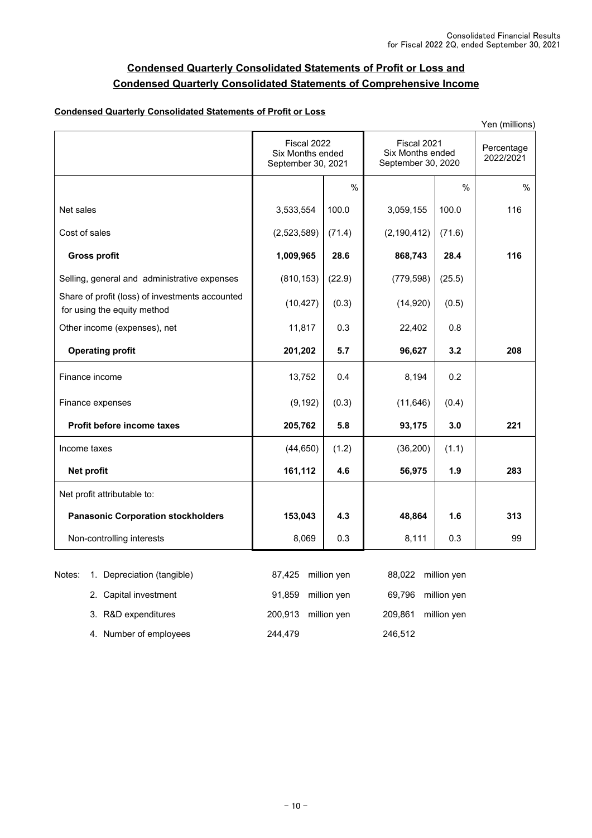### **Condensed Quarterly Consolidated Statements of Profit or Loss and Condensed Quarterly Consolidated Statements of Comprehensive Income**

#### **Condensed Quarterly Consolidated Statements of Profit or Loss**

| Yen (millions)                                                                 |                                                       |        |                                                       |               |      |                         |
|--------------------------------------------------------------------------------|-------------------------------------------------------|--------|-------------------------------------------------------|---------------|------|-------------------------|
|                                                                                | Fiscal 2022<br>Six Months ended<br>September 30, 2021 |        | Fiscal 2021<br>Six Months ended<br>September 30, 2020 |               |      | Percentage<br>2022/2021 |
|                                                                                |                                                       | %      |                                                       | $\frac{0}{0}$ | $\%$ |                         |
| Net sales                                                                      | 3,533,554                                             | 100.0  | 3,059,155                                             | 100.0         | 116  |                         |
| Cost of sales                                                                  | (2,523,589)                                           | (71.4) | (2, 190, 412)                                         | (71.6)        |      |                         |
| <b>Gross profit</b>                                                            | 1,009,965                                             | 28.6   | 868,743                                               | 28.4          | 116  |                         |
| Selling, general and administrative expenses                                   | (810, 153)                                            | (22.9) | (779, 598)                                            | (25.5)        |      |                         |
| Share of profit (loss) of investments accounted<br>for using the equity method | (10, 427)                                             | (0.3)  | (14, 920)                                             | (0.5)         |      |                         |
| Other income (expenses), net                                                   | 11,817                                                | 0.3    | 22,402                                                | 0.8           |      |                         |
| <b>Operating profit</b>                                                        | 201,202                                               | 5.7    | 96,627                                                | 3.2           | 208  |                         |
| Finance income                                                                 | 13,752                                                | 0.4    | 8,194                                                 | 0.2           |      |                         |
| Finance expenses                                                               | (9, 192)                                              | (0.3)  | (11, 646)                                             | (0.4)         |      |                         |
| Profit before income taxes                                                     | 205,762                                               | 5.8    | 93,175                                                | 3.0           | 221  |                         |
| Income taxes                                                                   | (44, 650)                                             | (1.2)  | (36, 200)                                             | (1.1)         |      |                         |
| Net profit                                                                     | 161,112                                               | 4.6    | 56,975                                                | 1.9           | 283  |                         |
| Net profit attributable to:                                                    |                                                       |        |                                                       |               |      |                         |
| <b>Panasonic Corporation stockholders</b>                                      | 153,043                                               | 4.3    | 48,864                                                | 1.6           | 313  |                         |
| Non-controlling interests                                                      | 8,069                                                 | 0.3    | 8,111                                                 | 0.3           | 99   |                         |

|  | Notes: 1. Depreciation (tangible) |         | 87,425 million yen  |         | 88,022 million yen  |
|--|-----------------------------------|---------|---------------------|---------|---------------------|
|  | 2. Capital investment             |         | 91,859 million yen  |         | 69,796 million yen  |
|  | 3. R&D expenditures               |         | 200,913 million yen |         | 209,861 million yen |
|  | 4. Number of employees            | 244.479 |                     | 246,512 |                     |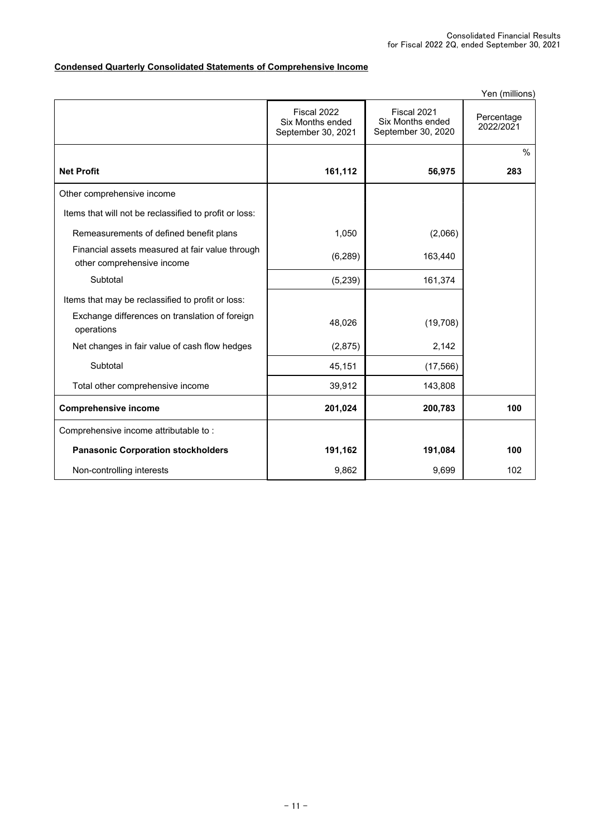### **Condensed Quarterly Consolidated Statements of Comprehensive Income**

|                                                                               |                                                       |                                                       | Yen (millions)          |
|-------------------------------------------------------------------------------|-------------------------------------------------------|-------------------------------------------------------|-------------------------|
|                                                                               | Fiscal 2022<br>Six Months ended<br>September 30, 2021 | Fiscal 2021<br>Six Months ended<br>September 30, 2020 | Percentage<br>2022/2021 |
|                                                                               |                                                       |                                                       | %                       |
| <b>Net Profit</b>                                                             | 161,112                                               | 56,975                                                | 283                     |
| Other comprehensive income                                                    |                                                       |                                                       |                         |
| Items that will not be reclassified to profit or loss:                        |                                                       |                                                       |                         |
| Remeasurements of defined benefit plans                                       | 1,050                                                 | (2,066)                                               |                         |
| Financial assets measured at fair value through<br>other comprehensive income | (6, 289)                                              | 163,440                                               |                         |
| Subtotal                                                                      | (5, 239)                                              | 161,374                                               |                         |
| Items that may be reclassified to profit or loss:                             |                                                       |                                                       |                         |
| Exchange differences on translation of foreign<br>operations                  | 48,026                                                | (19, 708)                                             |                         |
| Net changes in fair value of cash flow hedges                                 | (2,875)                                               | 2,142                                                 |                         |
| Subtotal                                                                      | 45,151                                                | (17, 566)                                             |                         |
| Total other comprehensive income                                              | 39,912                                                | 143,808                                               |                         |
| <b>Comprehensive income</b>                                                   | 201,024                                               | 200,783                                               | 100                     |
| Comprehensive income attributable to:                                         |                                                       |                                                       |                         |
| <b>Panasonic Corporation stockholders</b>                                     | 191,162                                               | 191,084                                               | 100                     |
| Non-controlling interests                                                     | 9,862                                                 | 9,699                                                 | 102                     |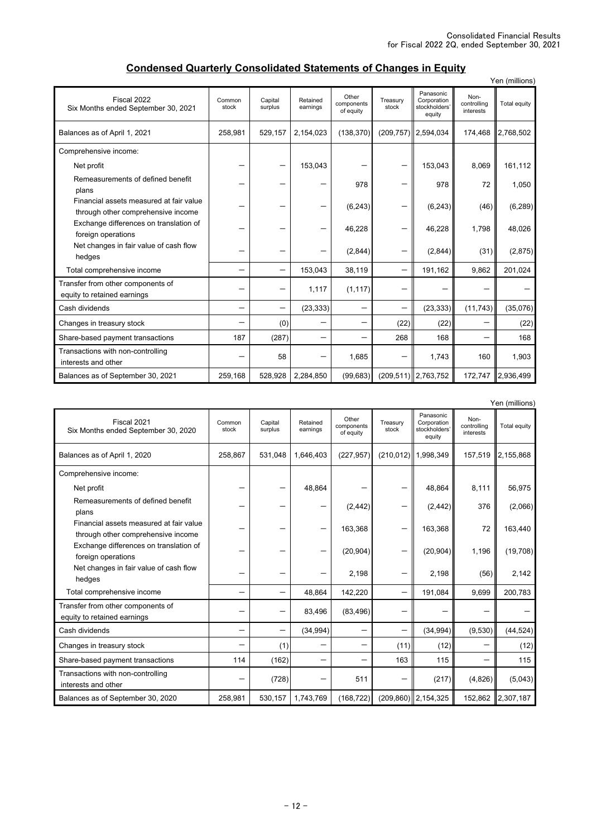## **Condensed Quarterly Consolidated Statements of Changes in Equity**

|                                                                               |                 |                    |                      |                                  |                   |                                                     |                                  | Yen (millions)    |
|-------------------------------------------------------------------------------|-----------------|--------------------|----------------------|----------------------------------|-------------------|-----------------------------------------------------|----------------------------------|-------------------|
| Fiscal 2022<br>Six Months ended September 30, 2021                            | Common<br>stock | Capital<br>surplus | Retained<br>earnings | Other<br>components<br>of equity | Treasurv<br>stock | Panasonic<br>Corporation<br>stockholders'<br>equity | Non-<br>controlling<br>interests | Total equity      |
| Balances as of April 1, 2021                                                  | 258,981         | 529.157            | 2,154,023            | (138, 370)                       |                   | $(209, 757)$ 2.594,034                              | 174.468                          | 2,768,502         |
| Comprehensive income:                                                         |                 |                    |                      |                                  |                   |                                                     |                                  |                   |
| Net profit                                                                    |                 |                    | 153,043              |                                  |                   | 153,043                                             | 8,069                            | 161,112           |
| Remeasurements of defined benefit<br>plans                                    |                 |                    |                      | 978                              |                   | 978                                                 | 72                               | 1,050             |
| Financial assets measured at fair value<br>through other comprehensive income |                 |                    |                      | (6, 243)                         |                   | (6, 243)                                            | (46)                             | (6, 289)          |
| Exchange differences on translation of<br>foreign operations                  |                 |                    |                      | 46,228                           |                   | 46,228                                              | 1,798                            | 48,026            |
| Net changes in fair value of cash flow<br>hedges                              |                 |                    |                      | (2,844)                          | -                 | (2,844)                                             | (31)                             | (2,875)           |
| Total comprehensive income                                                    |                 | -                  | 153,043              | 38,119                           | -                 | 191,162                                             | 9,862                            | 201,024           |
| Transfer from other components of<br>equity to retained earnings              |                 |                    | 1,117                | (1, 117)                         |                   |                                                     |                                  |                   |
| Cash dividends                                                                |                 | -                  | (23, 333)            | -                                | —                 | (23, 333)                                           | (11, 743)                        | (35,076)          |
| Changes in treasury stock                                                     |                 | (0)                |                      | -                                | (22)              | (22)                                                |                                  | (22)              |
| Share-based payment transactions                                              | 187             | (287)              |                      | -                                | 268               | 168                                                 |                                  | 168               |
| Transactions with non-controlling<br>interests and other                      |                 | 58                 |                      | 1,685                            | -                 | 1,743                                               | 160                              | 1,903             |
| Balances as of September 30, 2021                                             | 259,168         | 528,928            | 2,284,850            | (99, 683)                        |                   | $(209, 511)$   2,763,752                            |                                  | 172,747 2,936,499 |

|                                                                               |                 |                    |                      |                                  |                   |                                                     |                                  | Yen (millions) |
|-------------------------------------------------------------------------------|-----------------|--------------------|----------------------|----------------------------------|-------------------|-----------------------------------------------------|----------------------------------|----------------|
| Fiscal 2021<br>Six Months ended September 30, 2020                            | Common<br>stock | Capital<br>surplus | Retained<br>earnings | Other<br>components<br>of equity | Treasurv<br>stock | Panasonic<br>Corporation<br>stockholders'<br>equity | Non-<br>controlling<br>interests | Total equity   |
| Balances as of April 1, 2020                                                  | 258.867         | 531.048            | 1.646.403            | (227, 957)                       |                   | (210,012) 1,998,349                                 | 157.519                          | 2,155,868      |
| Comprehensive income:                                                         |                 |                    |                      |                                  |                   |                                                     |                                  |                |
| Net profit                                                                    |                 |                    | 48.864               |                                  |                   | 48.864                                              | 8,111                            | 56,975         |
| Remeasurements of defined benefit<br>plans                                    |                 |                    |                      | (2, 442)                         |                   | (2, 442)                                            | 376                              | (2,066)        |
| Financial assets measured at fair value<br>through other comprehensive income |                 |                    |                      | 163,368                          |                   | 163,368                                             | 72                               | 163,440        |
| Exchange differences on translation of<br>foreign operations                  |                 |                    |                      | (20, 904)                        |                   | (20, 904)                                           | 1,196                            | (19,708)       |
| Net changes in fair value of cash flow<br>hedges                              |                 |                    |                      | 2,198                            | -                 | 2,198                                               | (56)                             | 2,142          |
| Total comprehensive income                                                    |                 |                    | 48.864               | 142.220                          | —                 | 191.084                                             | 9.699                            | 200.783        |
| Transfer from other components of<br>equity to retained earnings              |                 |                    | 83,496               | (83, 496)                        |                   |                                                     |                                  |                |
| Cash dividends                                                                |                 |                    | (34, 994)            | —                                | —                 | (34, 994)                                           | (9,530)                          | (44, 524)      |
| Changes in treasury stock                                                     |                 | (1)                |                      | -                                | (11)              | (12)                                                |                                  | (12)           |
| Share-based payment transactions                                              | 114             | (162)              |                      | -                                | 163               | 115                                                 |                                  | 115            |
| Transactions with non-controlling<br>interests and other                      |                 | (728)              |                      | 511                              |                   | (217)                                               | (4,826)                          | (5,043)        |
| Balances as of September 30, 2020                                             | 258,981         | 530,157            | 1,743,769            | (168, 722)                       |                   | $(209, 860)$ 2, 154, 325                            | 152,862                          | 2,307,187      |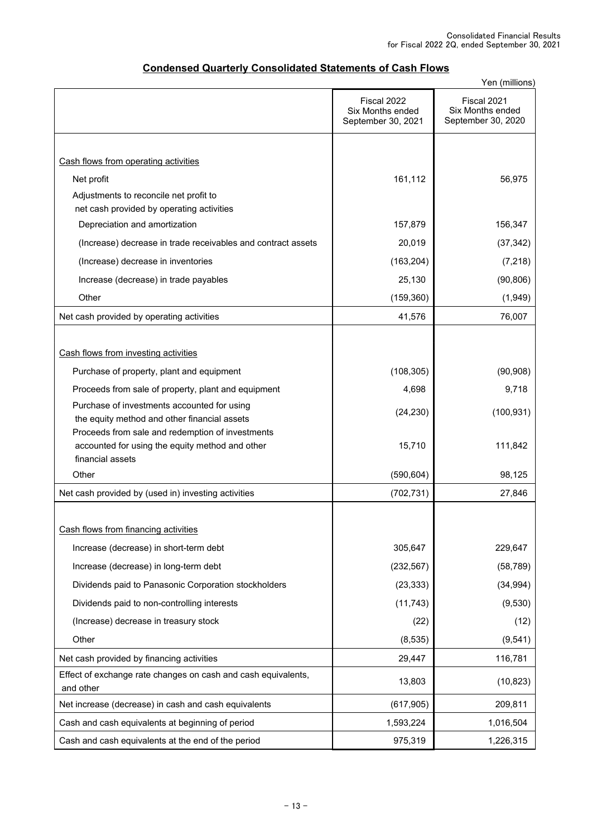| <b>Condensed Quarterly Consolidated Statements of Cash Flows</b> |
|------------------------------------------------------------------|
|------------------------------------------------------------------|

|                                                                                                     | Yen (millions)                                        |                                                       |  |  |  |
|-----------------------------------------------------------------------------------------------------|-------------------------------------------------------|-------------------------------------------------------|--|--|--|
|                                                                                                     | Fiscal 2022<br>Six Months ended<br>September 30, 2021 | Fiscal 2021<br>Six Months ended<br>September 30, 2020 |  |  |  |
|                                                                                                     |                                                       |                                                       |  |  |  |
| Cash flows from operating activities                                                                |                                                       |                                                       |  |  |  |
| Net profit                                                                                          | 161,112                                               | 56,975                                                |  |  |  |
| Adjustments to reconcile net profit to                                                              |                                                       |                                                       |  |  |  |
| net cash provided by operating activities                                                           |                                                       |                                                       |  |  |  |
| Depreciation and amortization                                                                       | 157,879                                               | 156,347                                               |  |  |  |
| (Increase) decrease in trade receivables and contract assets                                        | 20,019                                                | (37, 342)                                             |  |  |  |
| (Increase) decrease in inventories                                                                  | (163, 204)                                            | (7, 218)                                              |  |  |  |
| Increase (decrease) in trade payables                                                               | 25,130                                                | (90, 806)                                             |  |  |  |
| Other                                                                                               | (159, 360)                                            | (1,949)                                               |  |  |  |
| Net cash provided by operating activities                                                           | 41,576                                                | 76,007                                                |  |  |  |
|                                                                                                     |                                                       |                                                       |  |  |  |
| Cash flows from investing activities                                                                |                                                       |                                                       |  |  |  |
| Purchase of property, plant and equipment                                                           | (108, 305)                                            | (90, 908)                                             |  |  |  |
| Proceeds from sale of property, plant and equipment                                                 | 4,698                                                 | 9,718                                                 |  |  |  |
| Purchase of investments accounted for using                                                         | (24, 230)                                             | (100, 931)                                            |  |  |  |
| the equity method and other financial assets                                                        |                                                       |                                                       |  |  |  |
| Proceeds from sale and redemption of investments<br>accounted for using the equity method and other | 15,710                                                | 111,842                                               |  |  |  |
| financial assets                                                                                    |                                                       |                                                       |  |  |  |
| Other                                                                                               | (590, 604)                                            | 98,125                                                |  |  |  |
| Net cash provided by (used in) investing activities                                                 | (702, 731)                                            | 27,846                                                |  |  |  |
|                                                                                                     |                                                       |                                                       |  |  |  |
| Cash flows from financing activities                                                                |                                                       |                                                       |  |  |  |
| Increase (decrease) in short-term debt                                                              | 305,647                                               | 229,647                                               |  |  |  |
| Increase (decrease) in long-term debt                                                               | (232, 567)                                            | (58, 789)                                             |  |  |  |
| Dividends paid to Panasonic Corporation stockholders                                                | (23, 333)                                             | (34, 994)                                             |  |  |  |
| Dividends paid to non-controlling interests                                                         | (11, 743)                                             | (9,530)                                               |  |  |  |
| (Increase) decrease in treasury stock                                                               | (22)                                                  | (12)                                                  |  |  |  |
| Other                                                                                               | (8,535)                                               | (9, 541)                                              |  |  |  |
| Net cash provided by financing activities                                                           | 29,447                                                | 116,781                                               |  |  |  |
| Effect of exchange rate changes on cash and cash equivalents,                                       |                                                       |                                                       |  |  |  |
| and other                                                                                           | 13,803                                                | (10, 823)                                             |  |  |  |
| Net increase (decrease) in cash and cash equivalents                                                | (617, 905)                                            | 209,811                                               |  |  |  |
| Cash and cash equivalents at beginning of period                                                    | 1,593,224                                             | 1,016,504                                             |  |  |  |
| Cash and cash equivalents at the end of the period                                                  | 975,319                                               | 1,226,315                                             |  |  |  |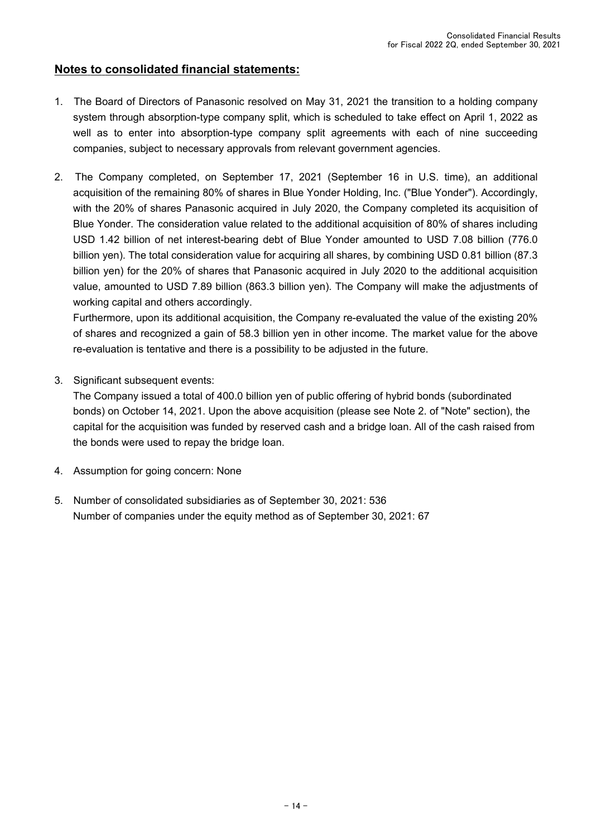### **Notes to consolidated financial statements:**

- 1. The Board of Directors of Panasonic resolved on May 31, 2021 the transition to a holding company system through absorption-type company split, which is scheduled to take effect on April 1, 2022 as well as to enter into absorption-type company split agreements with each of nine succeeding companies, subject to necessary approvals from relevant government agencies.
- 2. The Company completed, on September 17, 2021 (September 16 in U.S. time), an additional acquisition of the remaining 80% of shares in Blue Yonder Holding, Inc. ("Blue Yonder"). Accordingly, with the 20% of shares Panasonic acquired in July 2020, the Company completed its acquisition of Blue Yonder. The consideration value related to the additional acquisition of 80% of shares including USD 1.42 billion of net interest-bearing debt of Blue Yonder amounted to USD 7.08 billion (776.0 billion yen). The total consideration value for acquiring all shares, by combining USD 0.81 billion (87.3 billion yen) for the 20% of shares that Panasonic acquired in July 2020 to the additional acquisition value, amounted to USD 7.89 billion (863.3 billion yen). The Company will make the adjustments of working capital and others accordingly.

Furthermore, upon its additional acquisition, the Company re-evaluated the value of the existing 20% of shares and recognized a gain of 58.3 billion yen in other income. The market value for the above re-evaluation is tentative and there is a possibility to be adjusted in the future.

3. Significant subsequent events:

The Company issued a total of 400.0 billion yen of public offering of hybrid bonds (subordinated bonds) on October 14, 2021. Upon the above acquisition (please see Note 2. of "Note" section), the capital for the acquisition was funded by reserved cash and a bridge loan. All of the cash raised from the bonds were used to repay the bridge loan.

- 4. Assumption for going concern: None
- 5. Number of consolidated subsidiaries as of September 30, 2021: 536 Number of companies under the equity method as of September 30, 2021: 67